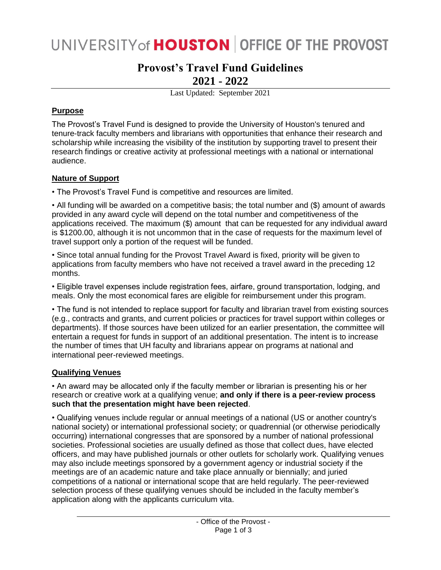# UNIVERSITY of **HOUSTON** OFFICE OF THE PROVOST

# **Provost's Travel Fund Guidelines 2021 - 2022**

Last Updated: September 2021

# **Purpose**

The Provost's Travel Fund is designed to provide the University of Houston's tenured and tenure-track faculty members and librarians with opportunities that enhance their research and scholarship while increasing the visibility of the institution by supporting travel to present their research findings or creative activity at professional meetings with a national or international audience.

# **Nature of Support**

• The Provost's Travel Fund is competitive and resources are limited.

• All funding will be awarded on a competitive basis; the total number and (\$) amount of awards provided in any award cycle will depend on the total number and competitiveness of the applications received. The maximum (\$) amount that can be requested for any individual award is \$1200.00, although it is not uncommon that in the case of requests for the maximum level of travel support only a portion of the request will be funded.

• Since total annual funding for the Provost Travel Award is fixed, priority will be given to applications from faculty members who have not received a travel award in the preceding 12 months.

• Eligible travel expenses include registration fees, airfare, ground transportation, lodging, and meals. Only the most economical fares are eligible for reimbursement under this program.

• The fund is not intended to replace support for faculty and librarian travel from existing sources (e.g., contracts and grants, and current policies or practices for travel support within colleges or departments). If those sources have been utilized for an earlier presentation, the committee will entertain a request for funds in support of an additional presentation. The intent is to increase the number of times that UH faculty and librarians appear on programs at national and international peer-reviewed meetings.

# **Qualifying Venues**

• An award may be allocated only if the faculty member or librarian is presenting his or her research or creative work at a qualifying venue; **and only if there is a peer-review process such that the presentation might have been rejected**.

• Qualifying venues include regular or annual meetings of a national (US or another country's national society) or international professional society; or quadrennial (or otherwise periodically occurring) international congresses that are sponsored by a number of national professional societies. Professional societies are usually defined as those that collect dues, have elected officers, and may have published journals or other outlets for scholarly work. Qualifying venues may also include meetings sponsored by a government agency or industrial society if the meetings are of an academic nature and take place annually or biennially; and juried competitions of a national or international scope that are held regularly. The peer-reviewed selection process of these qualifying venues should be included in the faculty member's application along with the applicants curriculum vita.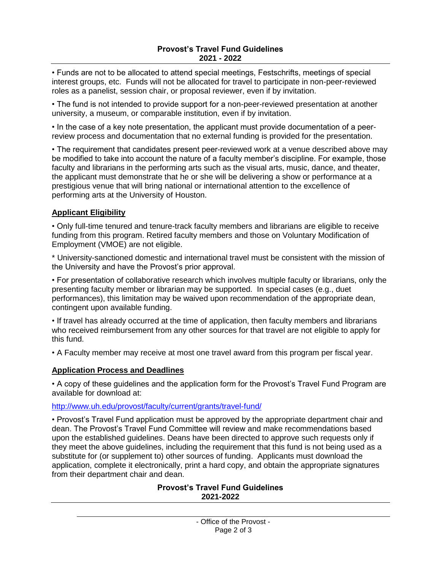• Funds are not to be allocated to attend special meetings, Festschrifts, meetings of special interest groups, etc. Funds will not be allocated for travel to participate in non-peer-reviewed roles as a panelist, session chair, or proposal reviewer, even if by invitation.

• The fund is not intended to provide support for a non-peer-reviewed presentation at another university, a museum, or comparable institution, even if by invitation.

• In the case of a key note presentation, the applicant must provide documentation of a peerreview process and documentation that no external funding is provided for the presentation.

• The requirement that candidates present peer-reviewed work at a venue described above may be modified to take into account the nature of a faculty member's discipline. For example, those faculty and librarians in the performing arts such as the visual arts, music, dance, and theater, the applicant must demonstrate that he or she will be delivering a show or performance at a prestigious venue that will bring national or international attention to the excellence of performing arts at the University of Houston.

### **Applicant Eligibility**

• Only full-time tenured and tenure-track faculty members and librarians are eligible to receive funding from this program. Retired faculty members and those on Voluntary Modification of Employment (VMOE) are not eligible.

\* University-sanctioned domestic and international travel must be consistent with the mission of the University and have the Provost's prior approval.

• For presentation of collaborative research which involves multiple faculty or librarians, only the presenting faculty member or librarian may be supported. In special cases (e.g., duet performances), this limitation may be waived upon recommendation of the appropriate dean, contingent upon available funding.

• If travel has already occurred at the time of application, then faculty members and librarians who received reimbursement from any other sources for that travel are not eligible to apply for this fund.

• A Faculty member may receive at most one travel award from this program per fiscal year.

#### **Application Process and Deadlines**

• A copy of these guidelines and the application form for the Provost's Travel Fund Program are available for download at:

#### <http://www.uh.edu/provost/faculty/current/grants/travel-fund/>

• Provost's Travel Fund application must be approved by the appropriate department chair and dean. The Provost's Travel Fund Committee will review and make recommendations based upon the established guidelines. Deans have been directed to approve such requests only if they meet the above guidelines, including the requirement that this fund is not being used as a substitute for (or supplement to) other sources of funding. Applicants must download the application, complete it electronically, print a hard copy, and obtain the appropriate signatures from their department chair and dean.

#### **Provost's Travel Fund Guidelines 2021-2022**